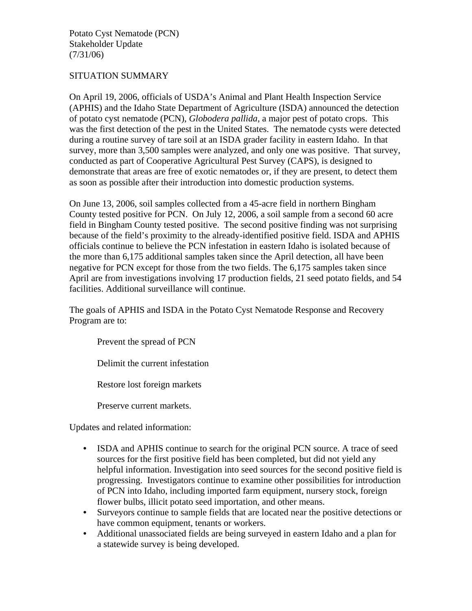Potato Cyst Nematode (PCN) Stakeholder Update (7/31/06)

## SITUATION SUMMARY

On April 19, 2006, officials of USDA's Animal and Plant Health Inspection Service (APHIS) and the Idaho State Department of Agriculture (ISDA) announced the detection of potato cyst nematode (PCN), *Globodera pallida*, a major pest of potato crops. This was the first detection of the pest in the United States. The nematode cysts were detected during a routine survey of tare soil at an ISDA grader facility in eastern Idaho. In that survey, more than 3,500 samples were analyzed, and only one was positive. That survey, conducted as part of Cooperative Agricultural Pest Survey (CAPS), is designed to demonstrate that areas are free of exotic nematodes or, if they are present, to detect them as soon as possible after their introduction into domestic production systems.

On June 13, 2006, soil samples collected from a 45-acre field in northern Bingham County tested positive for PCN. On July 12, 2006, a soil sample from a second 60 acre field in Bingham County tested positive. The second positive finding was not surprising because of the field's proximity to the already-identified positive field. ISDA and APHIS officials continue to believe the PCN infestation in eastern Idaho is isolated because of the more than 6,175 additional samples taken since the April detection, all have been negative for PCN except for those from the two fields. The 6,175 samples taken since April are from investigations involving 17 production fields, 21 seed potato fields, and 54 facilities. Additional surveillance will continue.

The goals of APHIS and ISDA in the Potato Cyst Nematode Response and Recovery Program are to:

Prevent the spread of PCN

Delimit the current infestation

Restore lost foreign markets

Preserve current markets.

Updates and related information:

- ISDA and APHIS continue to search for the original PCN source. A trace of seed sources for the first positive field has been completed, but did not yield any helpful information. Investigation into seed sources for the second positive field is progressing. Investigators continue to examine other possibilities for introduction of PCN into Idaho, including imported farm equipment, nursery stock, foreign flower bulbs, illicit potato seed importation, and other means.
- Surveyors continue to sample fields that are located near the positive detections or have common equipment, tenants or workers.
- Additional unassociated fields are being surveyed in eastern Idaho and a plan for a statewide survey is being developed.